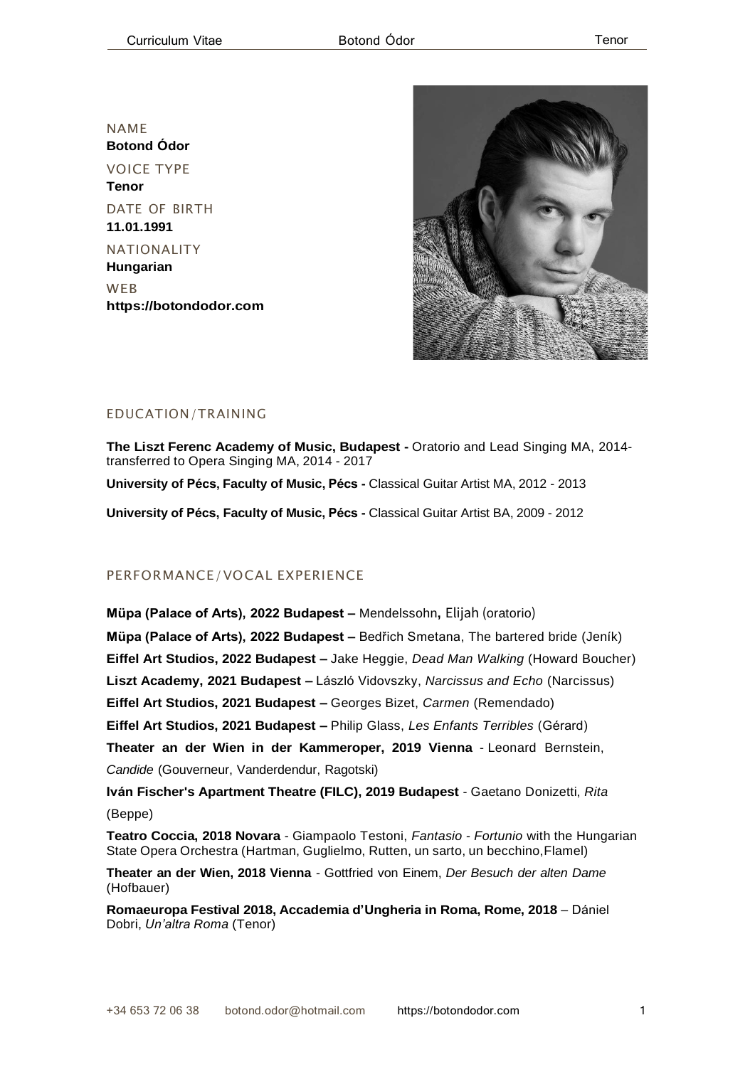NAME **Botond Ódor** VOICE TYPE **Tenor** DATE OF BIRTH **11.01.1991** NATIONALITY

**Hungarian** WEB **[https://botondodor.com](https://botondodor.com/)**



# EDUCATION/TRAINING

**The Liszt Ferenc Academy of Music, Budapest -** Oratorio and Lead Singing MA, 2014 transferred to Opera Singing MA, 2014 - 2017

**University of Pécs, Faculty of Music, Pécs -** Classical Guitar Artist MA, 2012 - 2013

**University of Pécs, Faculty of Music, Pécs -** Classical Guitar Artist BA, 2009 - 2012

# PERFORMANCE/VOCAL EXPERIENCE

**Müpa (Palace of Arts), 2022 Budapest –** Mendelssohn**,** Elijah (oratorio) **Müpa (Palace of Arts), 2022 Budapest –** Bedřich Smetana, The bartered bride (Jeník) **Eiffel Art Studios, 2022 Budapest –** Jake Heggie, *Dead Man Walking* (Howard Boucher) **Liszt Academy, 2021 Budapest –** László Vidovszky, *Narcissus and Echo* (Narcissus) **Eiffel Art Studios, 2021 Budapest –** Georges Bizet, *Carmen* (Remendado) **Eiffel Art Studios, 2021 Budapest –** Philip Glass, *Les Enfants Terribles* (Gérard) **Theater an der Wien in der Kammeroper, 2019 Vienna** - Leonard Bernstein, *Candide* (Gouverneur, Vanderdendur, Ragotski) **Iván Fischer's Apartment Theatre (FILC), 2019 Budapest** - Gaetano Donizetti, *Rita*

(Beppe)

**Teatro Coccia, 2018 Novara** - Giampaolo Testoni, *Fantasio - Fortunio* with the Hungarian State Opera Orchestra (Hartman, Guglielmo, Rutten, un sarto, un becchino,Flamel)

**Theater an der Wien, 2018 Vienna** - Gottfried von Einem, *Der Besuch der alten Dame* (Hofbauer)

**Romaeuropa Festival 2018, Accademia d'Ungheria in Roma, Rome, 2018** – Dániel Dobri, *Un'altra Roma* (Tenor)